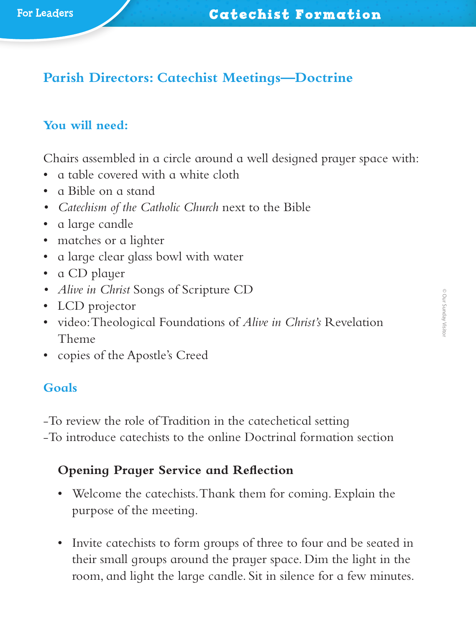# **Parish Directors: Catechist Meetings—Doctrine**

# **You will need:**

Chairs assembled in a circle around a well designed prayer space with:

- a table covered with a white cloth
- a Bible on a stand
- *• Catechism of the Catholic Church* next to the Bible
- a large candle
- matches or a lighter
- a large clear glass bowl with water
- a CD player
- *• Alive in Christ* Songs of Scripture CD
- LCD projector
- video: Theological Foundations of *Alive in Christ's* Revelation Theme
- copies of the Apostle's Creed

#### **Goals**

‑To review the role of Tradition in the catechetical setting

‑To introduce catechists to the online Doctrinal formation section

## **Opening Prayer Service and Reflection**

- Welcome the catechists. Thank them for coming. Explain the purpose of the meeting.
- Invite catechists to form groups of three to four and be seated in their small groups around the prayer space. Dim the light in the room, and light the large candle. Sit in silence for a few minutes.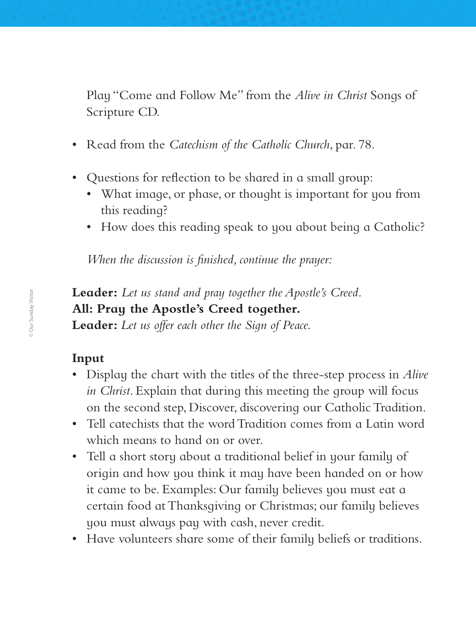Play "Come and Follow Me" from the *Alive in Christ* Songs of Scripture CD.

- Read from the *Catechism of the Catholic Church*, par. 78.
- Questions for reflection to be shared in a small group:
	- What image, or phase, or thought is important for you from this reading?
	- How does this reading speak to you about being a Catholic?

*When the discussion is finished, continue the prayer:*

**Leader:** *Let us stand and pray together the Apostle's Creed.* **All: Pray the Apostle's Creed together. Leader:** *Let us offer each other the Sign of Peace.*

#### **Input**

- Display the chart with the titles of the three-step process in *Alive in Christ*. Explain that during this meeting the group will focus on the second step, Discover, discovering our Catholic Tradition.
- Tell catechists that the word Tradition comes from a Latin word which means to hand on or over.
- Tell a short story about a traditional belief in your family of origin and how you think it may have been handed on or how it came to be. Examples: Our family believes you must eat a certain food at Thanksgiving or Christmas; our family believes you must always pay with cash, never credit.
- Have volunteers share some of their family beliefs or traditions.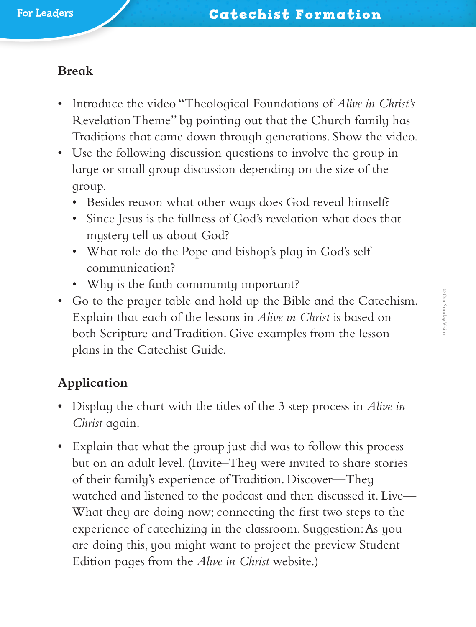#### **Break**

- Introduce the video "Theological Foundations of *Alive in Christ's* Revelation Theme" by pointing out that the Church family has Traditions that came down through generations. Show the video.
- Use the following discussion questions to involve the group in large or small group discussion depending on the size of the group.
	- Besides reason what other ways does God reveal himself?
	- Since Jesus is the fullness of God's revelation what does that mystery tell us about God?
	- What role do the Pope and bishop's play in God's self communication?
	- Why is the faith community important?
- Go to the prayer table and hold up the Bible and the Catechism. Explain that each of the lessons in *Alive in Christ* is based on both Scripture and Tradition. Give examples from the lesson plans in the Catechist Guide.

## **Application**

- Display the chart with the titles of the 3 step process in *Alive in Christ* again.
- Explain that what the group just did was to follow this process but on an adult level. (Invite–They were invited to share stories of their family's experience of Tradition. Discover—They watched and listened to the podcast and then discussed it. Live— What they are doing now; connecting the first two steps to the experience of catechizing in the classroom. Suggestion: As you are doing this, you might want to project the preview Student Edition pages from the *Alive in Christ* website.)